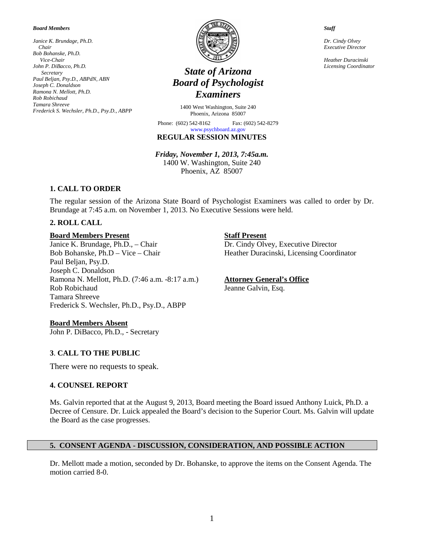#### *Board Members*

*Janice K. Brundage, Ph.D. Chair Bob Bohanske, Ph.D. Vice-Chair John P. DiBacco, Ph.D. Secretary Paul Beljan, Psy.D., ABPdN, ABN Joseph C. Donaldson Ramona N. Mellott, Ph.D. Rob Robichaud Tamara Shreeve Frederick S. Wechsler, Ph.D., Psy.D., ABPP*



# *Licensing Coordinator State of Arizona Board of Psychologist Examiners*

1400 West Washington, Suite 240 Phoenix, Arizona 85007

Phone: (602) 542-8162 Fax: (602) 542-8279

#### **REGULAR SESSION MINUTES** [www.psychboard.az.gov](http://www.psychboard.az.gov/)

*Friday, November 1, 2013, 7:45a.m.*  1400 W. Washington, Suite 240 Phoenix, AZ 85007

# **1. CALL TO ORDER**

The regular session of the Arizona State Board of Psychologist Examiners was called to order by Dr. Brundage at 7:45 a.m. on November 1, 2013. No Executive Sessions were held.

# **2. ROLL CALL**

#### **Board Members Present Staff Present**

Janice K. Brundage, Ph.D., – Chair Dr. Cindy Olvey, Executive Director Bob Bohanske, Ph.D – Vice – Chair Heather Duracinski, Licensing Coordinator Paul Beljan, Psy.D. Joseph C. Donaldson Ramona N. Mellott, Ph.D. (7:46 a.m. -8:17 a.m.) **Attorney General's Office** Rob Robichaud Jeanne Galvin, Esq. Tamara Shreeve Frederick S. Wechsler, Ph.D., Psy.D., ABPP

# **Board Members Absent**

John P. DiBacco, Ph.D., - Secretary

# **3**. **CALL TO THE PUBLIC**

There were no requests to speak.

#### **4. COUNSEL REPORT**

Ms. Galvin reported that at the August 9, 2013, Board meeting the Board issued Anthony Luick, Ph.D. a Decree of Censure. Dr. Luick appealed the Board's decision to the Superior Court. Ms. Galvin will update the Board as the case progresses.

#### **5. CONSENT AGENDA - DISCUSSION, CONSIDERATION, AND POSSIBLE ACTION**

Dr. Mellott made a motion, seconded by Dr. Bohanske, to approve the items on the Consent Agenda. The motion carried 8-0.

*Staff*

*Dr. Cindy Olvey Executive Director*

*Heather Duracinski*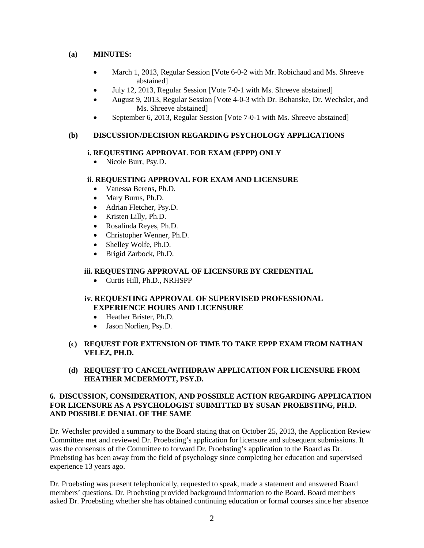#### **(a) MINUTES:**

- March 1, 2013, Regular Session [Vote 6-0-2 with Mr. Robichaud and Ms. Shreeve abstained]
- July 12, 2013, Regular Session [Vote 7-0-1 with Ms. Shreeve abstained]
- August 9, 2013, Regular Session [Vote 4-0-3 with Dr. Bohanske, Dr. Wechsler, and Ms. Shreeve abstained]
- September 6, 2013, Regular Session [Vote 7-0-1 with Ms. Shreeve abstained]

#### **(b) DISCUSSION/DECISION REGARDING PSYCHOLOGY APPLICATIONS**

#### **i. REQUESTING APPROVAL FOR EXAM (EPPP) ONLY**

• Nicole Burr, Psy.D.

#### **ii. REQUESTING APPROVAL FOR EXAM AND LICENSURE**

- Vanessa Berens, Ph.D.
- Mary Burns, Ph.D.
- Adrian Fletcher, Psy.D.
- Kristen Lilly, Ph.D.
- Rosalinda Reyes, Ph.D.
- Christopher Wenner, Ph.D.
- Shelley Wolfe, Ph.D.
- Brigid Zarbock, Ph.D.

#### **iii. REQUESTING APPROVAL OF LICENSURE BY CREDENTIAL**

• Curtis Hill, Ph.D., NRHSPP

#### **iv. REQUESTING APPROVAL OF SUPERVISED PROFESSIONAL EXPERIENCE HOURS AND LICENSURE**

- Heather Brister, Ph.D.
- Jason Norlien, Psy.D.
- **(c) REQUEST FOR EXTENSION OF TIME TO TAKE EPPP EXAM FROM NATHAN VELEZ, PH.D.**
- **(d) REQUEST TO CANCEL/WITHDRAW APPLICATION FOR LICENSURE FROM HEATHER MCDERMOTT, PSY.D.**

#### **6. DISCUSSION, CONSIDERATION, AND POSSIBLE ACTION REGARDING APPLICATION FOR LICENSURE AS A PSYCHOLOGIST SUBMITTED BY SUSAN PROEBSTING, PH.D. AND POSSIBLE DENIAL OF THE SAME**

Dr. Wechsler provided a summary to the Board stating that on October 25, 2013, the Application Review Committee met and reviewed Dr. Proebsting's application for licensure and subsequent submissions. It was the consensus of the Committee to forward Dr. Proebsting's application to the Board as Dr. Proebsting has been away from the field of psychology since completing her education and supervised experience 13 years ago.

Dr. Proebsting was present telephonically, requested to speak, made a statement and answered Board members' questions. Dr. Proebsting provided background information to the Board. Board members asked Dr. Proebsting whether she has obtained continuing education or formal courses since her absence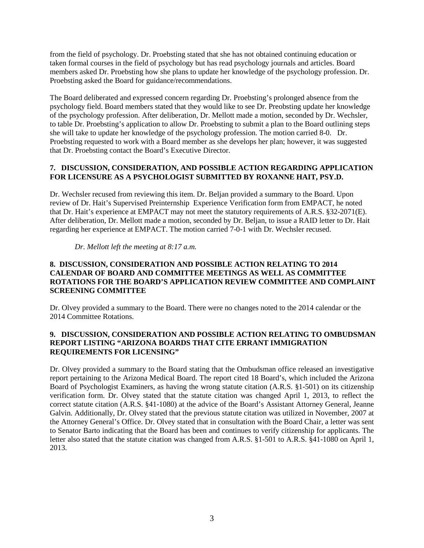from the field of psychology. Dr. Proebsting stated that she has not obtained continuing education or taken formal courses in the field of psychology but has read psychology journals and articles. Board members asked Dr. Proebsting how she plans to update her knowledge of the psychology profession. Dr. Proebsting asked the Board for guidance/recommendations.

The Board deliberated and expressed concern regarding Dr. Proebsting's prolonged absence from the psychology field. Board members stated that they would like to see Dr. Preobsting update her knowledge of the psychology profession. After deliberation, Dr. Mellott made a motion, seconded by Dr. Wechsler, to table Dr. Proebsting's application to allow Dr. Proebsting to submit a plan to the Board outlining steps she will take to update her knowledge of the psychology profession. The motion carried 8-0. Dr. Proebsting requested to work with a Board member as she develops her plan; however, it was suggested that Dr. Proebsting contact the Board's Executive Director.

#### **7. DISCUSSION, CONSIDERATION, AND POSSIBLE ACTION REGARDING APPLICATION FOR LICENSURE AS A PSYCHOLOGIST SUBMITTED BY ROXANNE HAIT, PSY.D.**

Dr. Wechsler recused from reviewing this item. Dr. Beljan provided a summary to the Board. Upon review of Dr. Hait's Supervised Preinternship Experience Verification form from EMPACT, he noted that Dr. Hait's experience at EMPACT may not meet the statutory requirements of A.R.S. §32-2071(E). After deliberation, Dr. Mellott made a motion, seconded by Dr. Beljan, to issue a RAID letter to Dr. Hait regarding her experience at EMPACT. The motion carried 7-0-1 with Dr. Wechsler recused.

*Dr. Mellott left the meeting at 8:17 a.m.*

#### **8. DISCUSSION, CONSIDERATION AND POSSIBLE ACTION RELATING TO 2014 CALENDAR OF BOARD AND COMMITTEE MEETINGS AS WELL AS COMMITTEE ROTATIONS FOR THE BOARD'S APPLICATION REVIEW COMMITTEE AND COMPLAINT SCREENING COMMITTEE**

Dr. Olvey provided a summary to the Board. There were no changes noted to the 2014 calendar or the 2014 Committee Rotations.

#### **9. DISCUSSION, CONSIDERATION AND POSSIBLE ACTION RELATING TO OMBUDSMAN REPORT LISTING "ARIZONA BOARDS THAT CITE ERRANT IMMIGRATION REQUIREMENTS FOR LICENSING"**

Dr. Olvey provided a summary to the Board stating that the Ombudsman office released an investigative report pertaining to the Arizona Medical Board. The report cited 18 Board's, which included the Arizona Board of Psychologist Examiners, as having the wrong statute citation (A.R.S. §1-501) on its citizenship verification form. Dr. Olvey stated that the statute citation was changed April 1, 2013, to reflect the correct statute citation (A.R.S. §41-1080) at the advice of the Board's Assistant Attorney General, Jeanne Galvin. Additionally, Dr. Olvey stated that the previous statute citation was utilized in November, 2007 at the Attorney General's Office. Dr. Olvey stated that in consultation with the Board Chair, a letter was sent to Senator Barto indicating that the Board has been and continues to verify citizenship for applicants. The letter also stated that the statute citation was changed from A.R.S. §1-501 to A.R.S. §41-1080 on April 1, 2013.